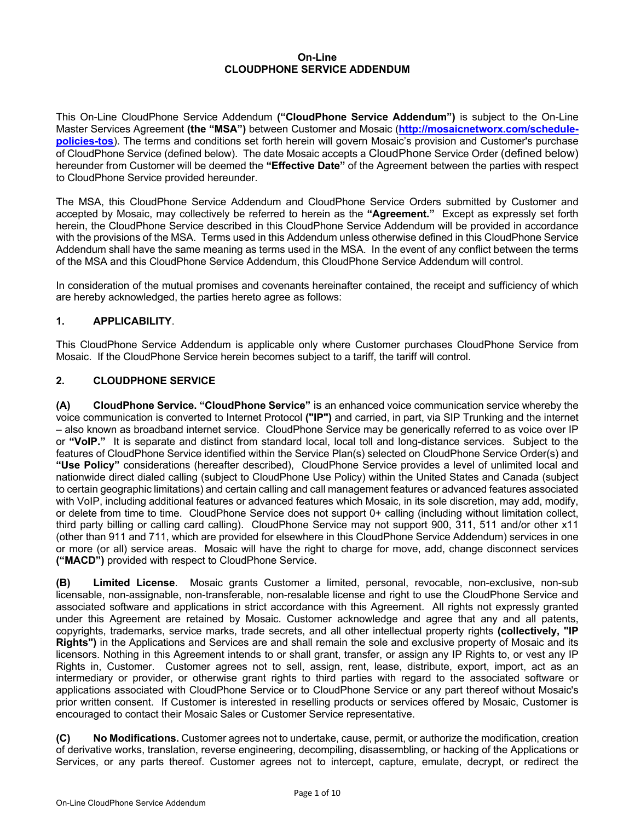#### **On-Line CLOUDPHONE SERVICE ADDENDUM**

This On-Line CloudPhone Service Addendum **("CloudPhone Service Addendum")** is subject to the On-Line Master Services Agreement **(the "MSA")** between Customer and Mosaic (**http://mosaicnetworx.com/schedulepolicies-tos**). The terms and conditions set forth herein will govern Mosaic's provision and Customer's purchase of CloudPhone Service (defined below). The date Mosaic accepts a CloudPhone Service Order (defined below) hereunder from Customer will be deemed the **"Effective Date"** of the Agreement between the parties with respect to CloudPhone Service provided hereunder.

The MSA, this CloudPhone Service Addendum and CloudPhone Service Orders submitted by Customer and accepted by Mosaic, may collectively be referred to herein as the **"Agreement."** Except as expressly set forth herein, the CloudPhone Service described in this CloudPhone Service Addendum will be provided in accordance with the provisions of the MSA. Terms used in this Addendum unless otherwise defined in this CloudPhone Service Addendum shall have the same meaning as terms used in the MSA. In the event of any conflict between the terms of the MSA and this CloudPhone Service Addendum, this CloudPhone Service Addendum will control.

In consideration of the mutual promises and covenants hereinafter contained, the receipt and sufficiency of which are hereby acknowledged, the parties hereto agree as follows:

## **1. APPLICABILITY**.

This CloudPhone Service Addendum is applicable only where Customer purchases CloudPhone Service from Mosaic. If the CloudPhone Service herein becomes subject to a tariff, the tariff will control.

### **2. CLOUDPHONE SERVICE**

**(A) CloudPhone Service. "CloudPhone Service"** is an enhanced voice communication service whereby the voice communication is converted to Internet Protocol **("IP")** and carried, in part, via SIP Trunking and the internet – also known as broadband internet service. CloudPhone Service may be generically referred to as voice over IP or **"VoIP."** It is separate and distinct from standard local, local toll and long-distance services. Subject to the features of CloudPhone Service identified within the Service Plan(s) selected on CloudPhone Service Order(s) and **"Use Policy"** considerations (hereafter described), CloudPhone Service provides a level of unlimited local and nationwide direct dialed calling (subject to CloudPhone Use Policy) within the United States and Canada (subject to certain geographic limitations) and certain calling and call management features or advanced features associated with VoIP, including additional features or advanced features which Mosaic, in its sole discretion, may add, modify, or delete from time to time. CloudPhone Service does not support 0+ calling (including without limitation collect, third party billing or calling card calling). CloudPhone Service may not support 900, 311, 511 and/or other x11 (other than 911 and 711, which are provided for elsewhere in this CloudPhone Service Addendum) services in one or more (or all) service areas. Mosaic will have the right to charge for move, add, change disconnect services **("MACD")** provided with respect to CloudPhone Service.

**(B) Limited License**. Mosaic grants Customer a limited, personal, revocable, non-exclusive, non-sub licensable, non-assignable, non-transferable, non-resalable license and right to use the CloudPhone Service and associated software and applications in strict accordance with this Agreement. All rights not expressly granted under this Agreement are retained by Mosaic. Customer acknowledge and agree that any and all patents, copyrights, trademarks, service marks, trade secrets, and all other intellectual property rights **(collectively, "IP Rights")** in the Applications and Services are and shall remain the sole and exclusive property of Mosaic and its licensors. Nothing in this Agreement intends to or shall grant, transfer, or assign any IP Rights to, or vest any IP Rights in, Customer. Customer agrees not to sell, assign, rent, lease, distribute, export, import, act as an intermediary or provider, or otherwise grant rights to third parties with regard to the associated software or applications associated with CloudPhone Service or to CloudPhone Service or any part thereof without Mosaic's prior written consent. If Customer is interested in reselling products or services offered by Mosaic, Customer is encouraged to contact their Mosaic Sales or Customer Service representative.

**(C) No Modifications.** Customer agrees not to undertake, cause, permit, or authorize the modification, creation of derivative works, translation, reverse engineering, decompiling, disassembling, or hacking of the Applications or Services, or any parts thereof. Customer agrees not to intercept, capture, emulate, decrypt, or redirect the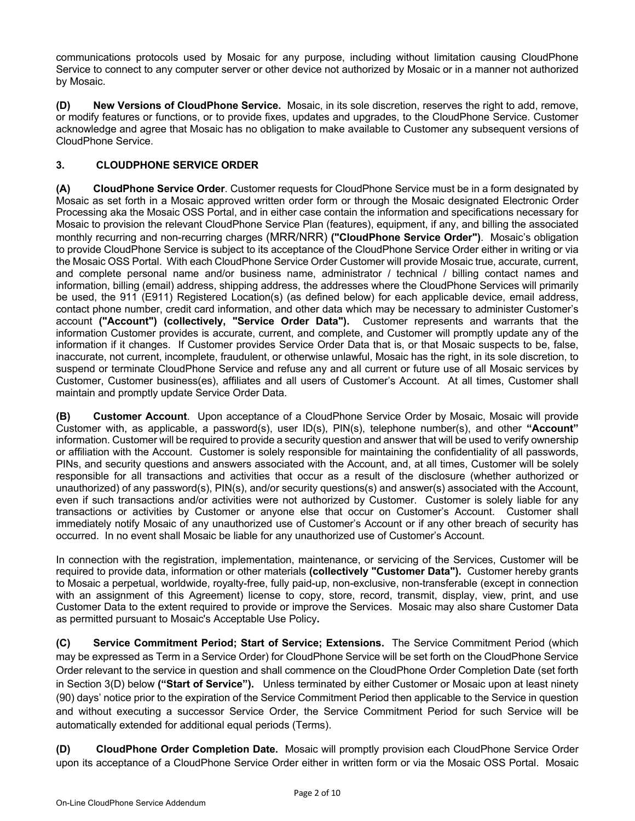communications protocols used by Mosaic for any purpose, including without limitation causing CloudPhone Service to connect to any computer server or other device not authorized by Mosaic or in a manner not authorized by Mosaic.

**(D) New Versions of CloudPhone Service.** Mosaic, in its sole discretion, reserves the right to add, remove, or modify features or functions, or to provide fixes, updates and upgrades, to the CloudPhone Service. Customer acknowledge and agree that Mosaic has no obligation to make available to Customer any subsequent versions of CloudPhone Service.

# **3. CLOUDPHONE SERVICE ORDER**

**(A) CloudPhone Service Order**. Customer requests for CloudPhone Service must be in a form designated by Mosaic as set forth in a Mosaic approved written order form or through the Mosaic designated Electronic Order Processing aka the Mosaic OSS Portal, and in either case contain the information and specifications necessary for Mosaic to provision the relevant CloudPhone Service Plan (features), equipment, if any, and billing the associated monthly recurring and non-recurring charges (MRR/NRR) **("CloudPhone Service Order")**. Mosaic's obligation to provide CloudPhone Service is subject to its acceptance of the CloudPhone Service Order either in writing or via the Mosaic OSS Portal. With each CloudPhone Service Order Customer will provide Mosaic true, accurate, current, and complete personal name and/or business name, administrator / technical / billing contact names and information, billing (email) address, shipping address, the addresses where the CloudPhone Services will primarily be used, the 911 (E911) Registered Location(s) (as defined below) for each applicable device, email address, contact phone number, credit card information, and other data which may be necessary to administer Customer's account **("Account") (collectively, "Service Order Data").** Customer represents and warrants that the information Customer provides is accurate, current, and complete, and Customer will promptly update any of the information if it changes. If Customer provides Service Order Data that is, or that Mosaic suspects to be, false, inaccurate, not current, incomplete, fraudulent, or otherwise unlawful, Mosaic has the right, in its sole discretion, to suspend or terminate CloudPhone Service and refuse any and all current or future use of all Mosaic services by Customer, Customer business(es), affiliates and all users of Customer's Account. At all times, Customer shall maintain and promptly update Service Order Data.

**(B) Customer Account**. Upon acceptance of a CloudPhone Service Order by Mosaic, Mosaic will provide Customer with, as applicable, a password(s), user ID(s), PIN(s), telephone number(s), and other **"Account"** information. Customer will be required to provide a security question and answer that will be used to verify ownership or affiliation with the Account. Customer is solely responsible for maintaining the confidentiality of all passwords, PINs, and security questions and answers associated with the Account, and, at all times, Customer will be solely responsible for all transactions and activities that occur as a result of the disclosure (whether authorized or unauthorized) of any password(s), PIN(s), and/or security questions(s) and answer(s) associated with the Account, even if such transactions and/or activities were not authorized by Customer. Customer is solely liable for any transactions or activities by Customer or anyone else that occur on Customer's Account. Customer shall immediately notify Mosaic of any unauthorized use of Customer's Account or if any other breach of security has occurred. In no event shall Mosaic be liable for any unauthorized use of Customer's Account.

In connection with the registration, implementation, maintenance, or servicing of the Services, Customer will be required to provide data, information or other materials **(collectively "Customer Data").** Customer hereby grants to Mosaic a perpetual, worldwide, royalty-free, fully paid-up, non-exclusive, non-transferable (except in connection with an assignment of this Agreement) license to copy, store, record, transmit, display, view, print, and use Customer Data to the extent required to provide or improve the Services. Mosaic may also share Customer Data as permitted pursuant to Mosaic's Acceptable Use Policy**.**

**(C) Service Commitment Period; Start of Service; Extensions.** The Service Commitment Period (which may be expressed as Term in a Service Order) for CloudPhone Service will be set forth on the CloudPhone Service Order relevant to the service in question and shall commence on the CloudPhone Order Completion Date (set forth in Section 3(D) below **("Start of Service").** Unless terminated by either Customer or Mosaic upon at least ninety (90) days' notice prior to the expiration of the Service Commitment Period then applicable to the Service in question and without executing a successor Service Order, the Service Commitment Period for such Service will be automatically extended for additional equal periods (Terms).

**(D) CloudPhone Order Completion Date.** Mosaic will promptly provision each CloudPhone Service Order upon its acceptance of a CloudPhone Service Order either in written form or via the Mosaic OSS Portal. Mosaic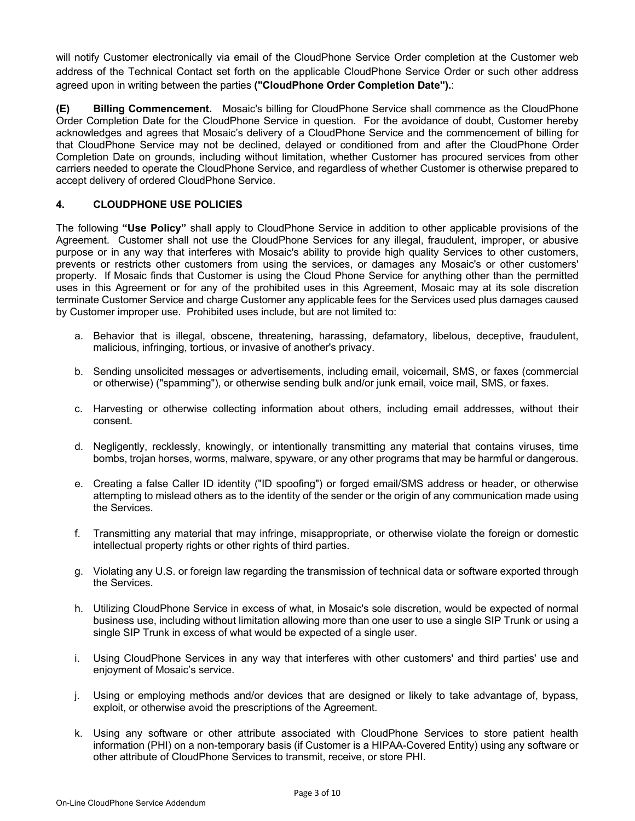will notify Customer electronically via email of the CloudPhone Service Order completion at the Customer web address of the Technical Contact set forth on the applicable CloudPhone Service Order or such other address agreed upon in writing between the parties **("CloudPhone Order Completion Date").**:

**(E) Billing Commencement.** Mosaic's billing for CloudPhone Service shall commence as the CloudPhone Order Completion Date for the CloudPhone Service in question. For the avoidance of doubt, Customer hereby acknowledges and agrees that Mosaic's delivery of a CloudPhone Service and the commencement of billing for that CloudPhone Service may not be declined, delayed or conditioned from and after the CloudPhone Order Completion Date on grounds, including without limitation, whether Customer has procured services from other carriers needed to operate the CloudPhone Service, and regardless of whether Customer is otherwise prepared to accept delivery of ordered CloudPhone Service.

## **4. CLOUDPHONE USE POLICIES**

The following **"Use Policy"** shall apply to CloudPhone Service in addition to other applicable provisions of the Agreement. Customer shall not use the CloudPhone Services for any illegal, fraudulent, improper, or abusive purpose or in any way that interferes with Mosaic's ability to provide high quality Services to other customers, prevents or restricts other customers from using the services, or damages any Mosaic's or other customers' property. If Mosaic finds that Customer is using the Cloud Phone Service for anything other than the permitted uses in this Agreement or for any of the prohibited uses in this Agreement, Mosaic may at its sole discretion terminate Customer Service and charge Customer any applicable fees for the Services used plus damages caused by Customer improper use. Prohibited uses include, but are not limited to:

- a. Behavior that is illegal, obscene, threatening, harassing, defamatory, libelous, deceptive, fraudulent, malicious, infringing, tortious, or invasive of another's privacy.
- b. Sending unsolicited messages or advertisements, including email, voicemail, SMS, or faxes (commercial or otherwise) ("spamming"), or otherwise sending bulk and/or junk email, voice mail, SMS, or faxes.
- c. Harvesting or otherwise collecting information about others, including email addresses, without their consent.
- d. Negligently, recklessly, knowingly, or intentionally transmitting any material that contains viruses, time bombs, trojan horses, worms, malware, spyware, or any other programs that may be harmful or dangerous.
- e. Creating a false Caller ID identity ("ID spoofing") or forged email/SMS address or header, or otherwise attempting to mislead others as to the identity of the sender or the origin of any communication made using the Services.
- f. Transmitting any material that may infringe, misappropriate, or otherwise violate the foreign or domestic intellectual property rights or other rights of third parties.
- g. Violating any U.S. or foreign law regarding the transmission of technical data or software exported through the Services.
- h. Utilizing CloudPhone Service in excess of what, in Mosaic's sole discretion, would be expected of normal business use, including without limitation allowing more than one user to use a single SIP Trunk or using a single SIP Trunk in excess of what would be expected of a single user.
- i. Using CloudPhone Services in any way that interferes with other customers' and third parties' use and enjoyment of Mosaic's service.
- j. Using or employing methods and/or devices that are designed or likely to take advantage of, bypass, exploit, or otherwise avoid the prescriptions of the Agreement.
- k. Using any software or other attribute associated with CloudPhone Services to store patient health information (PHI) on a non-temporary basis (if Customer is a HIPAA-Covered Entity) using any software or other attribute of CloudPhone Services to transmit, receive, or store PHI.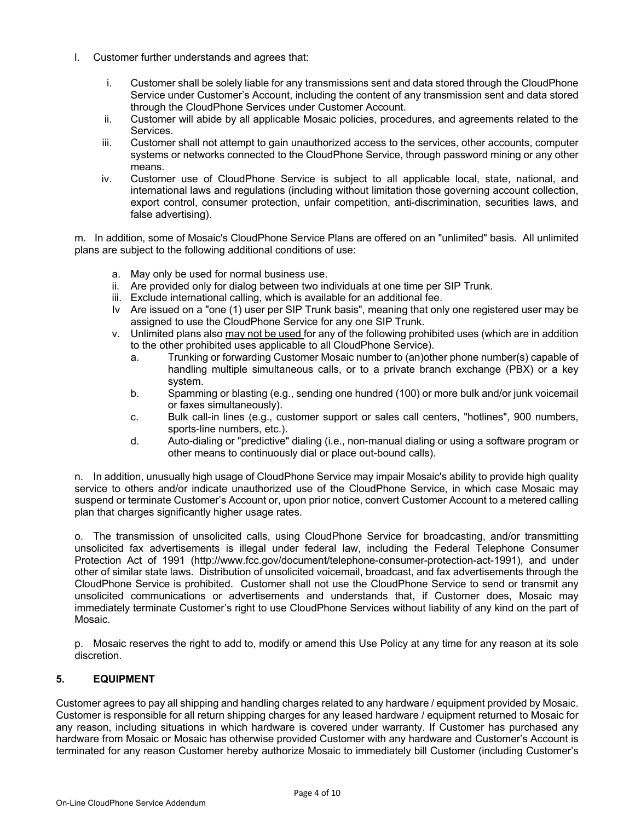- l. Customer further understands and agrees that:
	- i. Customer shall be solely liable for any transmissions sent and data stored through the CloudPhone Service under Customer's Account, including the content of any transmission sent and data stored through the CloudPhone Services under Customer Account.
	- ii. Customer will abide by all applicable Mosaic policies, procedures, and agreements related to the Services.
	- iii. Customer shall not attempt to gain unauthorized access to the services, other accounts, computer systems or networks connected to the CloudPhone Service, through password mining or any other means.
	- iv. Customer use of CloudPhone Service is subject to all applicable local, state, national, and international laws and regulations (including without limitation those governing account collection, export control, consumer protection, unfair competition, anti-discrimination, securities laws, and false advertising).

m. In addition, some of Mosaic's CloudPhone Service Plans are offered on an "unlimited" basis. All unlimited plans are subject to the following additional conditions of use:

- a. May only be used for normal business use.
- ii. Are provided only for dialog between two individuals at one time per SIP Trunk.
- iii. Exclude international calling, which is available for an additional fee.
- Iv Are issued on a "one (1) user per SIP Trunk basis", meaning that only one registered user may be assigned to use the CloudPhone Service for any one SIP Trunk.
- v. Unlimited plans also may not be used for any of the following prohibited uses (which are in addition to the other prohibited uses applicable to all CloudPhone Service).
	- a. Trunking or forwarding Customer Mosaic number to (an)other phone number(s) capable of handling multiple simultaneous calls, or to a private branch exchange (PBX) or a key system.
	- b. Spamming or blasting (e.g., sending one hundred (100) or more bulk and/or junk voicemail or faxes simultaneously).
	- c. Bulk call-in lines (e.g., customer support or sales call centers, "hotlines", 900 numbers, sports-line numbers, etc.).
	- d. Auto-dialing or "predictive" dialing (i.e., non-manual dialing or using a software program or other means to continuously dial or place out-bound calls).

n. In addition, unusually high usage of CloudPhone Service may impair Mosaic's ability to provide high quality service to others and/or indicate unauthorized use of the CloudPhone Service, in which case Mosaic may suspend or terminate Customer's Account or, upon prior notice, convert Customer Account to a metered calling plan that charges significantly higher usage rates.

o. The transmission of unsolicited calls, using CloudPhone Service for broadcasting, and/or transmitting unsolicited fax advertisements is illegal under federal law, including the Federal Telephone Consumer Protection Act of 1991 (http://www.fcc.gov/document/telephone-consumer-protection-act-1991), and under other of similar state laws. Distribution of unsolicited voicemail, broadcast, and fax advertisements through the CloudPhone Service is prohibited. Customer shall not use the CloudPhone Service to send or transmit any unsolicited communications or advertisements and understands that, if Customer does, Mosaic may immediately terminate Customer's right to use CloudPhone Services without liability of any kind on the part of Mosaic.

p. Mosaic reserves the right to add to, modify or amend this Use Policy at any time for any reason at its sole discretion.

## **5. EQUIPMENT**

Customer agrees to pay all shipping and handling charges related to any hardware / equipment provided by Mosaic. Customer is responsible for all return shipping charges for any leased hardware / equipment returned to Mosaic for any reason, including situations in which hardware is covered under warranty. If Customer has purchased any hardware from Mosaic or Mosaic has otherwise provided Customer with any hardware and Customer's Account is terminated for any reason Customer hereby authorize Mosaic to immediately bill Customer (including Customer's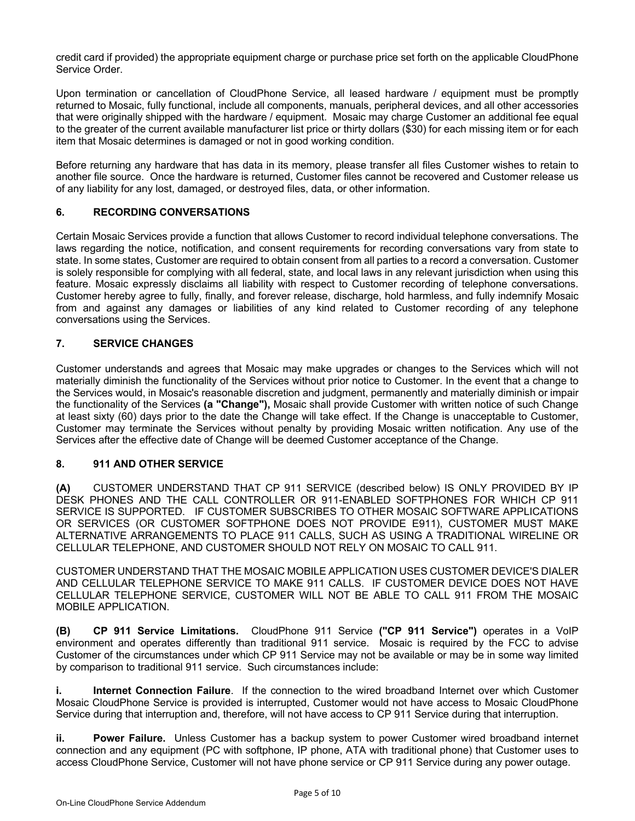credit card if provided) the appropriate equipment charge or purchase price set forth on the applicable CloudPhone Service Order.

Upon termination or cancellation of CloudPhone Service, all leased hardware / equipment must be promptly returned to Mosaic, fully functional, include all components, manuals, peripheral devices, and all other accessories that were originally shipped with the hardware / equipment. Mosaic may charge Customer an additional fee equal to the greater of the current available manufacturer list price or thirty dollars (\$30) for each missing item or for each item that Mosaic determines is damaged or not in good working condition.

Before returning any hardware that has data in its memory, please transfer all files Customer wishes to retain to another file source. Once the hardware is returned, Customer files cannot be recovered and Customer release us of any liability for any lost, damaged, or destroyed files, data, or other information.

### **6. RECORDING CONVERSATIONS**

Certain Mosaic Services provide a function that allows Customer to record individual telephone conversations. The laws regarding the notice, notification, and consent requirements for recording conversations vary from state to state. In some states, Customer are required to obtain consent from all parties to a record a conversation. Customer is solely responsible for complying with all federal, state, and local laws in any relevant jurisdiction when using this feature. Mosaic expressly disclaims all liability with respect to Customer recording of telephone conversations. Customer hereby agree to fully, finally, and forever release, discharge, hold harmless, and fully indemnify Mosaic from and against any damages or liabilities of any kind related to Customer recording of any telephone conversations using the Services.

## **7. SERVICE CHANGES**

Customer understands and agrees that Mosaic may make upgrades or changes to the Services which will not materially diminish the functionality of the Services without prior notice to Customer. In the event that a change to the Services would, in Mosaic's reasonable discretion and judgment, permanently and materially diminish or impair the functionality of the Services **(a "Change"),** Mosaic shall provide Customer with written notice of such Change at least sixty (60) days prior to the date the Change will take effect. If the Change is unacceptable to Customer, Customer may terminate the Services without penalty by providing Mosaic written notification. Any use of the Services after the effective date of Change will be deemed Customer acceptance of the Change.

#### **8. 911 AND OTHER SERVICE**

**(A)** CUSTOMER UNDERSTAND THAT CP 911 SERVICE (described below) IS ONLY PROVIDED BY IP DESK PHONES AND THE CALL CONTROLLER OR 911-ENABLED SOFTPHONES FOR WHICH CP 911 SERVICE IS SUPPORTED. IF CUSTOMER SUBSCRIBES TO OTHER MOSAIC SOFTWARE APPLICATIONS OR SERVICES (OR CUSTOMER SOFTPHONE DOES NOT PROVIDE E911), CUSTOMER MUST MAKE ALTERNATIVE ARRANGEMENTS TO PLACE 911 CALLS, SUCH AS USING A TRADITIONAL WIRELINE OR CELLULAR TELEPHONE, AND CUSTOMER SHOULD NOT RELY ON MOSAIC TO CALL 911.

CUSTOMER UNDERSTAND THAT THE MOSAIC MOBILE APPLICATION USES CUSTOMER DEVICE'S DIALER AND CELLULAR TELEPHONE SERVICE TO MAKE 911 CALLS. IF CUSTOMER DEVICE DOES NOT HAVE CELLULAR TELEPHONE SERVICE, CUSTOMER WILL NOT BE ABLE TO CALL 911 FROM THE MOSAIC MOBILE APPLICATION.

**(B) CP 911 Service Limitations.** CloudPhone 911 Service **("CP 911 Service")** operates in a VoIP environment and operates differently than traditional 911 service. Mosaic is required by the FCC to advise Customer of the circumstances under which CP 911 Service may not be available or may be in some way limited by comparison to traditional 911 service. Such circumstances include:

**i. Internet Connection Failure**. If the connection to the wired broadband Internet over which Customer Mosaic CloudPhone Service is provided is interrupted, Customer would not have access to Mosaic CloudPhone Service during that interruption and, therefore, will not have access to CP 911 Service during that interruption.

**ii. Power Failure.** Unless Customer has a backup system to power Customer wired broadband internet connection and any equipment (PC with softphone, IP phone, ATA with traditional phone) that Customer uses to access CloudPhone Service, Customer will not have phone service or CP 911 Service during any power outage.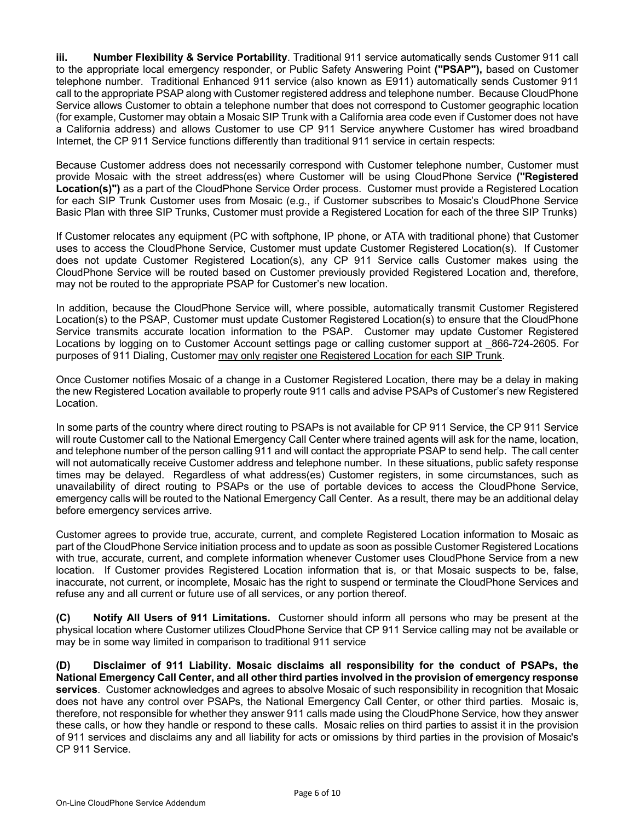**iii. Number Flexibility & Service Portability**. Traditional 911 service automatically sends Customer 911 call to the appropriate local emergency responder, or Public Safety Answering Point **("PSAP"),** based on Customer telephone number. Traditional Enhanced 911 service (also known as E911) automatically sends Customer 911 call to the appropriate PSAP along with Customer registered address and telephone number. Because CloudPhone Service allows Customer to obtain a telephone number that does not correspond to Customer geographic location (for example, Customer may obtain a Mosaic SIP Trunk with a California area code even if Customer does not have a California address) and allows Customer to use CP 911 Service anywhere Customer has wired broadband Internet, the CP 911 Service functions differently than traditional 911 service in certain respects:

Because Customer address does not necessarily correspond with Customer telephone number, Customer must provide Mosaic with the street address(es) where Customer will be using CloudPhone Service **("Registered Location(s)")** as a part of the CloudPhone Service Order process. Customer must provide a Registered Location for each SIP Trunk Customer uses from Mosaic (e.g., if Customer subscribes to Mosaic's CloudPhone Service Basic Plan with three SIP Trunks, Customer must provide a Registered Location for each of the three SIP Trunks)

If Customer relocates any equipment (PC with softphone, IP phone, or ATA with traditional phone) that Customer uses to access the CloudPhone Service, Customer must update Customer Registered Location(s). If Customer does not update Customer Registered Location(s), any CP 911 Service calls Customer makes using the CloudPhone Service will be routed based on Customer previously provided Registered Location and, therefore, may not be routed to the appropriate PSAP for Customer's new location.

In addition, because the CloudPhone Service will, where possible, automatically transmit Customer Registered Location(s) to the PSAP, Customer must update Customer Registered Location(s) to ensure that the CloudPhone Service transmits accurate location information to the PSAP. Customer may update Customer Registered Locations by logging on to Customer Account settings page or calling customer support at  $866-724-2605$ . For purposes of 911 Dialing, Customer may only register one Registered Location for each SIP Trunk.

Once Customer notifies Mosaic of a change in a Customer Registered Location, there may be a delay in making the new Registered Location available to properly route 911 calls and advise PSAPs of Customer's new Registered Location.

In some parts of the country where direct routing to PSAPs is not available for CP 911 Service, the CP 911 Service will route Customer call to the National Emergency Call Center where trained agents will ask for the name, location, and telephone number of the person calling 911 and will contact the appropriate PSAP to send help. The call center will not automatically receive Customer address and telephone number. In these situations, public safety response times may be delayed. Regardless of what address(es) Customer registers, in some circumstances, such as unavailability of direct routing to PSAPs or the use of portable devices to access the CloudPhone Service, emergency calls will be routed to the National Emergency Call Center. As a result, there may be an additional delay before emergency services arrive.

Customer agrees to provide true, accurate, current, and complete Registered Location information to Mosaic as part of the CloudPhone Service initiation process and to update as soon as possible Customer Registered Locations with true, accurate, current, and complete information whenever Customer uses CloudPhone Service from a new location. If Customer provides Registered Location information that is, or that Mosaic suspects to be, false, inaccurate, not current, or incomplete, Mosaic has the right to suspend or terminate the CloudPhone Services and refuse any and all current or future use of all services, or any portion thereof.

**(C) Notify All Users of 911 Limitations.** Customer should inform all persons who may be present at the physical location where Customer utilizes CloudPhone Service that CP 911 Service calling may not be available or may be in some way limited in comparison to traditional 911 service

**(D) Disclaimer of 911 Liability. Mosaic disclaims all responsibility for the conduct of PSAPs, the National Emergency Call Center, and all other third parties involved in the provision of emergency response services**. Customer acknowledges and agrees to absolve Mosaic of such responsibility in recognition that Mosaic does not have any control over PSAPs, the National Emergency Call Center, or other third parties. Mosaic is, therefore, not responsible for whether they answer 911 calls made using the CloudPhone Service, how they answer these calls, or how they handle or respond to these calls. Mosaic relies on third parties to assist it in the provision of 911 services and disclaims any and all liability for acts or omissions by third parties in the provision of Mosaic's CP 911 Service.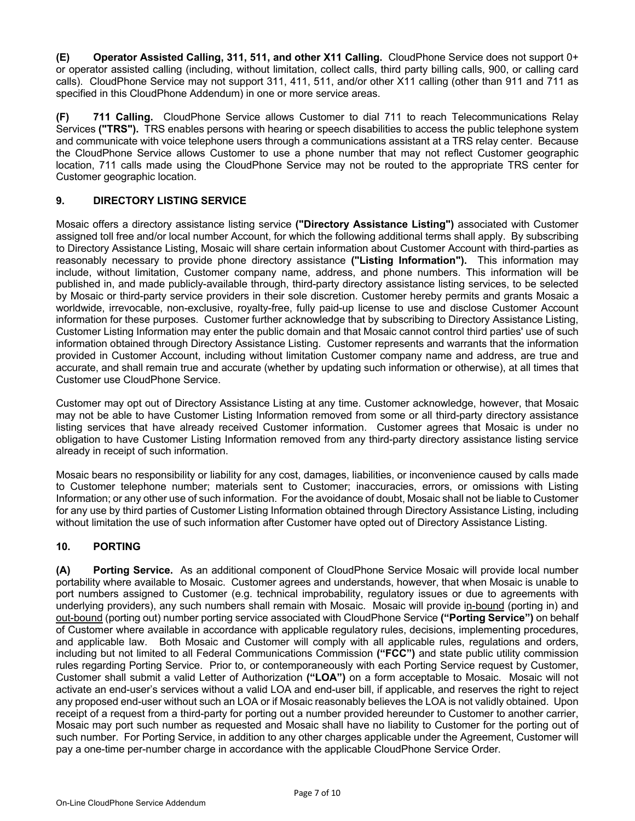**(E) Operator Assisted Calling, 311, 511, and other X11 Calling.** CloudPhone Service does not support 0+ or operator assisted calling (including, without limitation, collect calls, third party billing calls, 900, or calling card calls). CloudPhone Service may not support 311, 411, 511, and/or other X11 calling (other than 911 and 711 as specified in this CloudPhone Addendum) in one or more service areas.

**(F) 711 Calling.** CloudPhone Service allows Customer to dial 711 to reach Telecommunications Relay Services **("TRS").** TRS enables persons with hearing or speech disabilities to access the public telephone system and communicate with voice telephone users through a communications assistant at a TRS relay center. Because the CloudPhone Service allows Customer to use a phone number that may not reflect Customer geographic location, 711 calls made using the CloudPhone Service may not be routed to the appropriate TRS center for Customer geographic location.

## **9. DIRECTORY LISTING SERVICE**

Mosaic offers a directory assistance listing service **("Directory Assistance Listing")** associated with Customer assigned toll free and/or local number Account, for which the following additional terms shall apply. By subscribing to Directory Assistance Listing, Mosaic will share certain information about Customer Account with third-parties as reasonably necessary to provide phone directory assistance **("Listing Information").** This information may include, without limitation, Customer company name, address, and phone numbers. This information will be published in, and made publicly-available through, third-party directory assistance listing services, to be selected by Mosaic or third-party service providers in their sole discretion. Customer hereby permits and grants Mosaic a worldwide, irrevocable, non-exclusive, royalty-free, fully paid-up license to use and disclose Customer Account information for these purposes. Customer further acknowledge that by subscribing to Directory Assistance Listing, Customer Listing Information may enter the public domain and that Mosaic cannot control third parties' use of such information obtained through Directory Assistance Listing. Customer represents and warrants that the information provided in Customer Account, including without limitation Customer company name and address, are true and accurate, and shall remain true and accurate (whether by updating such information or otherwise), at all times that Customer use CloudPhone Service.

Customer may opt out of Directory Assistance Listing at any time. Customer acknowledge, however, that Mosaic may not be able to have Customer Listing Information removed from some or all third-party directory assistance listing services that have already received Customer information. Customer agrees that Mosaic is under no obligation to have Customer Listing Information removed from any third-party directory assistance listing service already in receipt of such information.

Mosaic bears no responsibility or liability for any cost, damages, liabilities, or inconvenience caused by calls made to Customer telephone number; materials sent to Customer; inaccuracies, errors, or omissions with Listing Information; or any other use of such information. For the avoidance of doubt, Mosaic shall not be liable to Customer for any use by third parties of Customer Listing Information obtained through Directory Assistance Listing, including without limitation the use of such information after Customer have opted out of Directory Assistance Listing.

# **10. PORTING**

**(A) Porting Service.** As an additional component of CloudPhone Service Mosaic will provide local number portability where available to Mosaic. Customer agrees and understands, however, that when Mosaic is unable to port numbers assigned to Customer (e.g. technical improbability, regulatory issues or due to agreements with underlying providers), any such numbers shall remain with Mosaic. Mosaic will provide in-bound (porting in) and out-bound (porting out) number porting service associated with CloudPhone Service **("Porting Service")** on behalf of Customer where available in accordance with applicable regulatory rules, decisions, implementing procedures, and applicable law. Both Mosaic and Customer will comply with all applicable rules, regulations and orders, including but not limited to all Federal Communications Commission **("FCC")** and state public utility commission rules regarding Porting Service. Prior to, or contemporaneously with each Porting Service request by Customer, Customer shall submit a valid Letter of Authorization **("LOA")** on a form acceptable to Mosaic. Mosaic will not activate an end-user's services without a valid LOA and end-user bill, if applicable, and reserves the right to reject any proposed end-user without such an LOA or if Mosaic reasonably believes the LOA is not validly obtained. Upon receipt of a request from a third-party for porting out a number provided hereunder to Customer to another carrier, Mosaic may port such number as requested and Mosaic shall have no liability to Customer for the porting out of such number. For Porting Service, in addition to any other charges applicable under the Agreement, Customer will pay a one-time per-number charge in accordance with the applicable CloudPhone Service Order.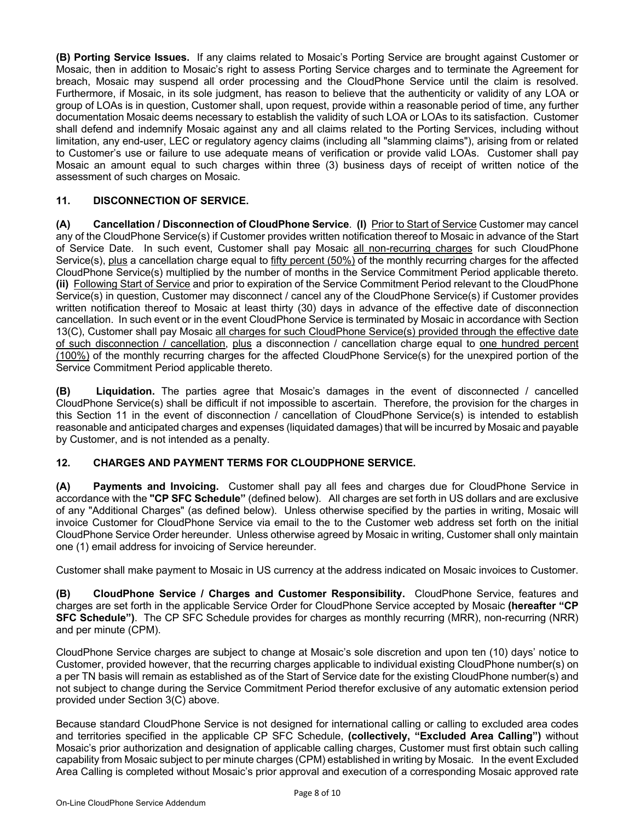**(B) Porting Service Issues.** If any claims related to Mosaic's Porting Service are brought against Customer or Mosaic, then in addition to Mosaic's right to assess Porting Service charges and to terminate the Agreement for breach, Mosaic may suspend all order processing and the CloudPhone Service until the claim is resolved. Furthermore, if Mosaic, in its sole judgment, has reason to believe that the authenticity or validity of any LOA or group of LOAs is in question, Customer shall, upon request, provide within a reasonable period of time, any further documentation Mosaic deems necessary to establish the validity of such LOA or LOAs to its satisfaction. Customer shall defend and indemnify Mosaic against any and all claims related to the Porting Services, including without limitation, any end-user, LEC or regulatory agency claims (including all "slamming claims"), arising from or related to Customer's use or failure to use adequate means of verification or provide valid LOAs. Customer shall pay Mosaic an amount equal to such charges within three (3) business days of receipt of written notice of the assessment of such charges on Mosaic.

## **11. DISCONNECTION OF SERVICE.**

**(A) Cancellation / Disconnection of CloudPhone Service**. **(I)** Prior to Start of Service Customer may cancel any of the CloudPhone Service(s) if Customer provides written notification thereof to Mosaic in advance of the Start of Service Date. In such event, Customer shall pay Mosaic all non-recurring charges for such CloudPhone Service(s), plus a cancellation charge equal to fifty percent (50%) of the monthly recurring charges for the affected CloudPhone Service(s) multiplied by the number of months in the Service Commitment Period applicable thereto. **(ii)** Following Start of Service and prior to expiration of the Service Commitment Period relevant to the CloudPhone Service(s) in question, Customer may disconnect / cancel any of the CloudPhone Service(s) if Customer provides written notification thereof to Mosaic at least thirty (30) days in advance of the effective date of disconnection cancellation. In such event or in the event CloudPhone Service is terminated by Mosaic in accordance with Section 13(C), Customer shall pay Mosaic all charges for such CloudPhone Service(s) provided through the effective date of such disconnection / cancellation, plus a disconnection / cancellation charge equal to one hundred percent (100%) of the monthly recurring charges for the affected CloudPhone Service(s) for the unexpired portion of the Service Commitment Period applicable thereto.

**(B) Liquidation.** The parties agree that Mosaic's damages in the event of disconnected / cancelled CloudPhone Service(s) shall be difficult if not impossible to ascertain. Therefore, the provision for the charges in this Section 11 in the event of disconnection / cancellation of CloudPhone Service(s) is intended to establish reasonable and anticipated charges and expenses (liquidated damages) that will be incurred by Mosaic and payable by Customer, and is not intended as a penalty.

## **12. CHARGES AND PAYMENT TERMS FOR CLOUDPHONE SERVICE.**

**(A) Payments and Invoicing.** Customer shall pay all fees and charges due for CloudPhone Service in accordance with the **"CP SFC Schedule"** (defined below). All charges are set forth in US dollars and are exclusive of any "Additional Charges" (as defined below). Unless otherwise specified by the parties in writing, Mosaic will invoice Customer for CloudPhone Service via email to the to the Customer web address set forth on the initial CloudPhone Service Order hereunder. Unless otherwise agreed by Mosaic in writing, Customer shall only maintain one (1) email address for invoicing of Service hereunder.

Customer shall make payment to Mosaic in US currency at the address indicated on Mosaic invoices to Customer.

**(B) CloudPhone Service / Charges and Customer Responsibility.** CloudPhone Service, features and charges are set forth in the applicable Service Order for CloudPhone Service accepted by Mosaic **(hereafter "CP SFC Schedule")**. The CP SFC Schedule provides for charges as monthly recurring (MRR), non-recurring (NRR) and per minute (CPM).

CloudPhone Service charges are subject to change at Mosaic's sole discretion and upon ten (10) days' notice to Customer, provided however, that the recurring charges applicable to individual existing CloudPhone number(s) on a per TN basis will remain as established as of the Start of Service date for the existing CloudPhone number(s) and not subject to change during the Service Commitment Period therefor exclusive of any automatic extension period provided under Section 3(C) above.

Because standard CloudPhone Service is not designed for international calling or calling to excluded area codes and territories specified in the applicable CP SFC Schedule, **(collectively, "Excluded Area Calling")** without Mosaic's prior authorization and designation of applicable calling charges, Customer must first obtain such calling capability from Mosaic subject to per minute charges (CPM) established in writing by Mosaic. In the event Excluded Area Calling is completed without Mosaic's prior approval and execution of a corresponding Mosaic approved rate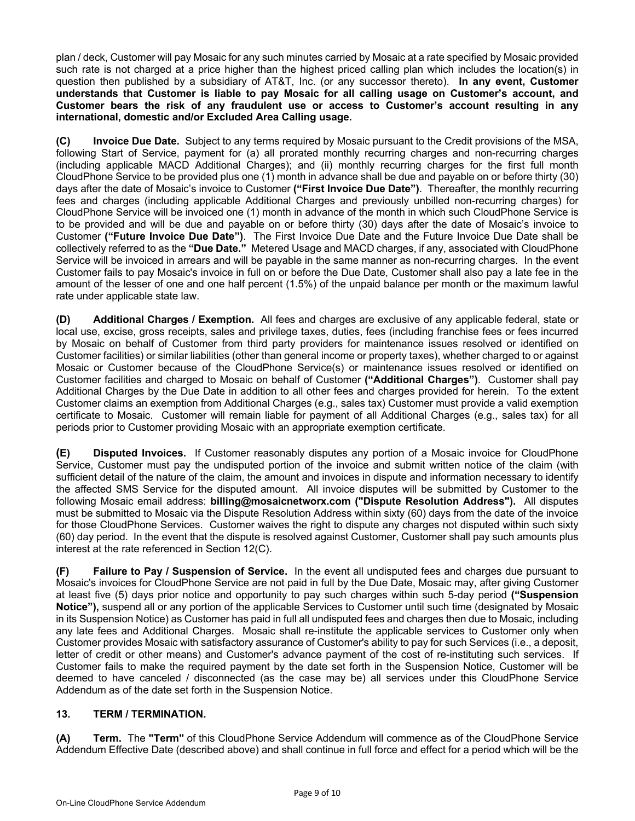plan / deck, Customer will pay Mosaic for any such minutes carried by Mosaic at a rate specified by Mosaic provided such rate is not charged at a price higher than the highest priced calling plan which includes the location(s) in question then published by a subsidiary of AT&T, Inc. (or any successor thereto). **In any event, Customer understands that Customer is liable to pay Mosaic for all calling usage on Customer's account, and Customer bears the risk of any fraudulent use or access to Customer's account resulting in any international, domestic and/or Excluded Area Calling usage.**

**(C) Invoice Due Date.** Subject to any terms required by Mosaic pursuant to the Credit provisions of the MSA, following Start of Service, payment for (a) all prorated monthly recurring charges and non-recurring charges (including applicable MACD Additional Charges); and (ii) monthly recurring charges for the first full month CloudPhone Service to be provided plus one (1) month in advance shall be due and payable on or before thirty (30) days after the date of Mosaic's invoice to Customer **("First Invoice Due Date")**. Thereafter, the monthly recurring fees and charges (including applicable Additional Charges and previously unbilled non-recurring charges) for CloudPhone Service will be invoiced one (1) month in advance of the month in which such CloudPhone Service is to be provided and will be due and payable on or before thirty (30) days after the date of Mosaic's invoice to Customer **("Future Invoice Due Date")**. The First Invoice Due Date and the Future Invoice Due Date shall be collectively referred to as the **"Due Date."** Metered Usage and MACD charges, if any, associated with CloudPhone Service will be invoiced in arrears and will be payable in the same manner as non-recurring charges. In the event Customer fails to pay Mosaic's invoice in full on or before the Due Date, Customer shall also pay a late fee in the amount of the lesser of one and one half percent (1.5%) of the unpaid balance per month or the maximum lawful rate under applicable state law.

**(D) Additional Charges / Exemption.** All fees and charges are exclusive of any applicable federal, state or local use, excise, gross receipts, sales and privilege taxes, duties, fees (including franchise fees or fees incurred by Mosaic on behalf of Customer from third party providers for maintenance issues resolved or identified on Customer facilities) or similar liabilities (other than general income or property taxes), whether charged to or against Mosaic or Customer because of the CloudPhone Service(s) or maintenance issues resolved or identified on Customer facilities and charged to Mosaic on behalf of Customer **("Additional Charges")**. Customer shall pay Additional Charges by the Due Date in addition to all other fees and charges provided for herein. To the extent Customer claims an exemption from Additional Charges (e.g., sales tax) Customer must provide a valid exemption certificate to Mosaic. Customer will remain liable for payment of all Additional Charges (e.g., sales tax) for all periods prior to Customer providing Mosaic with an appropriate exemption certificate.

**(E) Disputed Invoices.** If Customer reasonably disputes any portion of a Mosaic invoice for CloudPhone Service, Customer must pay the undisputed portion of the invoice and submit written notice of the claim (with sufficient detail of the nature of the claim, the amount and invoices in dispute and information necessary to identify the affected SMS Service for the disputed amount. All invoice disputes will be submitted by Customer to the following Mosaic email address: **billing@mosaicnetworx.com ("Dispute Resolution Address").** All disputes must be submitted to Mosaic via the Dispute Resolution Address within sixty (60) days from the date of the invoice for those CloudPhone Services. Customer waives the right to dispute any charges not disputed within such sixty (60) day period. In the event that the dispute is resolved against Customer, Customer shall pay such amounts plus interest at the rate referenced in Section 12(C).

**(F) Failure to Pay / Suspension of Service.** In the event all undisputed fees and charges due pursuant to Mosaic's invoices for CloudPhone Service are not paid in full by the Due Date, Mosaic may, after giving Customer at least five (5) days prior notice and opportunity to pay such charges within such 5-day period **("Suspension Notice"),** suspend all or any portion of the applicable Services to Customer until such time (designated by Mosaic in its Suspension Notice) as Customer has paid in full all undisputed fees and charges then due to Mosaic, including any late fees and Additional Charges. Mosaic shall re-institute the applicable services to Customer only when Customer provides Mosaic with satisfactory assurance of Customer's ability to pay for such Services (i.e., a deposit, letter of credit or other means) and Customer's advance payment of the cost of re-instituting such services. If Customer fails to make the required payment by the date set forth in the Suspension Notice, Customer will be deemed to have canceled / disconnected (as the case may be) all services under this CloudPhone Service Addendum as of the date set forth in the Suspension Notice.

## **13. TERM / TERMINATION.**

**(A) Term.** The **"Term"** of this CloudPhone Service Addendum will commence as of the CloudPhone Service Addendum Effective Date (described above) and shall continue in full force and effect for a period which will be the